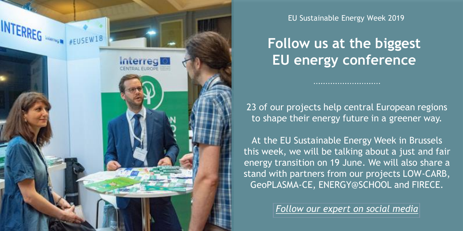

EU Sustainable Energy Week 2019

# **Follow us at the biggest EU energy conference**

23 of our projects help central European regions to shape their energy future in a greener way.

At the EU Sustainable Energy Week in Brussels this week, we will be talking about a just and fair energy transition on 19 June. We will also share a stand with partners from our projects LOW-CARB, GeoPLASMA-CE, ENERGY@SCHOOL and FIRECE.

*[Follow our expert on social media](https://www.facebook.com/InterregCE/photos/a.173520819405541/2254105704680365/?type=3&theater)*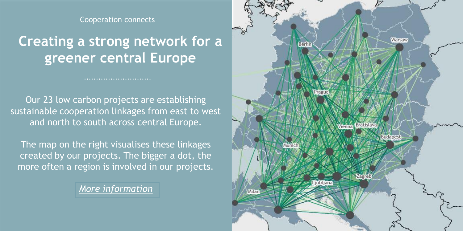Cooperation connects

# **Creating a strong network for a greener central Europe**

Our 23 low carbon projects are establishing sustainable cooperation linkages from east to west and north to south across central Europe.

The map on the right visualises these linkages created by our projects. The bigger a dot, the more often a region is involved in our projects.

*[More information](https://www.interreg-central.eu/Content.Node/Low-Carbon.html#Results)*

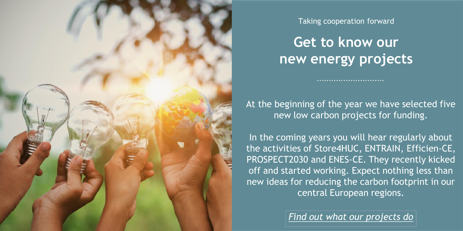

Taking cooperation forward

**Get to know our new energy projects**

At the beginning of the year we have selected five new low carbon projects for funding.

In the coming years you will hear regularly about the activities of Store4HUC, ENTRAIN, Efficien-CE, PROSPECT2030 and ENES-CE. They recently kicked off and started working. Expect nothing less than new ideas for reducing the carbon footprint in our central European regions.

*[Find out what our projects do](https://www.interreg-central.eu/Content.Node/Low-Carbon.html#Projects)*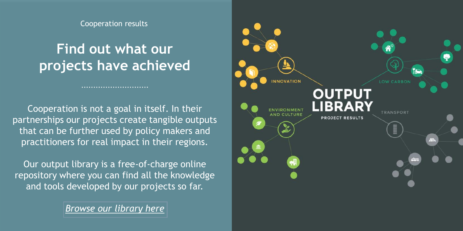Cooperation results

# **Find out what our projects have achieved**

...........................

Cooperation is not a goal in itself. In their partnerships our projects create tangible outputs that can be further used by policy makers and practitioners for real impact in their regions.

Our output library is a free-of-charge online repository where you can find all the knowledge and tools developed by our projects so far.

*[Browse our library here](https://www.interreg-central.eu/Content.Node/discover/Output-Library.html)*

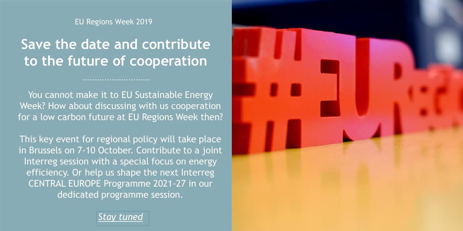EU Regions Week 2019

# **Save the date and contribute to the future of cooperation**

You cannot make it to EU Sustainable Energy Week? How about discussing with us cooperation for a low carbon future at EU Regions Week then?

This key event for regional policy will take place in Brussels on 7-10 October. Contribute to a joint Interreg session with a special focus on energy efficiency. Or help us shape the next Interreg CENTRAL EUROPE Programme 2021-27 in our dedicated programme session.



*[Stay tuned](https://www.interreg-central.eu/Content.Node/events/EURegionsWeek2019.html)*